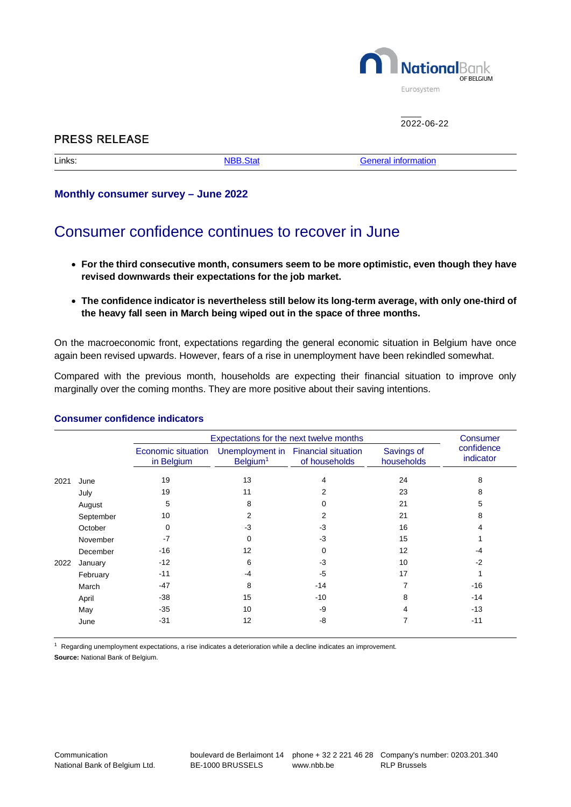

 $2022 - 06 - 22$ 

# **PRESS RELEASE**

Links: [NBB.Stat](http://stat.nbb.be/Index.aspx?DataSetCode=CONSN&lang=en) [General information](https://www.nbb.be/en/statistics/opinion-surveys)

## **Monthly consumer survey – June 2022**

# Consumer confidence continues to recover in June

- **For the third consecutive month, consumers seem to be more optimistic, even though they have revised downwards their expectations for the job market.**
- **The confidence indicator is nevertheless still below its long-term average, with only one-third of the heavy fall seen in March being wiped out in the space of three months.**

On the macroeconomic front, expectations regarding the general economic situation in Belgium have once again been revised upwards. However, fears of a rise in unemployment have been rekindled somewhat.

Compared with the previous month, households are expecting their financial situation to improve only marginally over the coming months. They are more positive about their saving intentions.

|      |           | Expectations for the next twelve months |                      |                                                      |                          | Consumer                |
|------|-----------|-----------------------------------------|----------------------|------------------------------------------------------|--------------------------|-------------------------|
|      |           | Economic situation<br>in Belgium        | Belgium <sup>1</sup> | Unemployment in Financial situation<br>of households | Savings of<br>households | confidence<br>indicator |
| 2021 | June      | 19                                      | 13                   | 4                                                    | 24                       | 8                       |
|      | July      | 19                                      | 11                   | 2                                                    | 23                       | 8                       |
|      | August    | 5                                       | 8                    |                                                      | 21                       | 5                       |
|      | September | 10                                      | 2                    |                                                      | 21                       | 8                       |
|      | October   | $\mathbf 0$                             | $-3$                 | -3                                                   | 16                       | 4                       |
|      | November  | $-7$                                    | U                    | -3                                                   | 15                       |                         |
|      | December  | $-16$                                   | 12                   | 0                                                    | 12                       | -4                      |
| 2022 | January   | $-12$                                   | 6                    | -3                                                   | 10                       | $-2$                    |
|      | February  | $-11$                                   | -4                   | $-5$                                                 | 17                       |                         |
|      | March     | $-47$                                   | 8                    | $-14$                                                |                          | $-16$                   |
|      | April     | $-38$                                   | 15                   | $-10$                                                | 8                        | $-14$                   |
|      | May       | $-35$                                   | 10                   | -9                                                   | 4                        | $-13$                   |
|      | June      | $-31$                                   | 12                   | -8                                                   |                          | $-11$                   |

### **Consumer confidence indicators**

 $1$  Regarding unemployment expectations, a rise indicates a deterioration while a decline indicates an improvement.

**Source:** National Bank of Belgium.